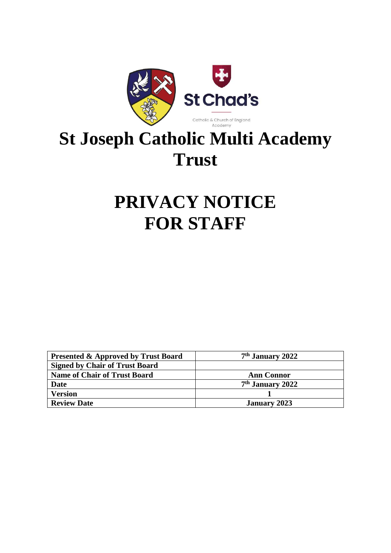

# **St Joseph Catholic Multi Academy Trust**

## **PRIVACY NOTICE FOR STAFF**

| <b>Presented &amp; Approved by Trust Board</b> | 7 <sup>th</sup> January 2022 |
|------------------------------------------------|------------------------------|
| <b>Signed by Chair of Trust Board</b>          |                              |
| <b>Name of Chair of Trust Board</b>            | <b>Ann Connor</b>            |
| Date                                           | $7th$ January 2022           |
| <b>Version</b>                                 |                              |
| <b>Review Date</b>                             | <b>January 2023</b>          |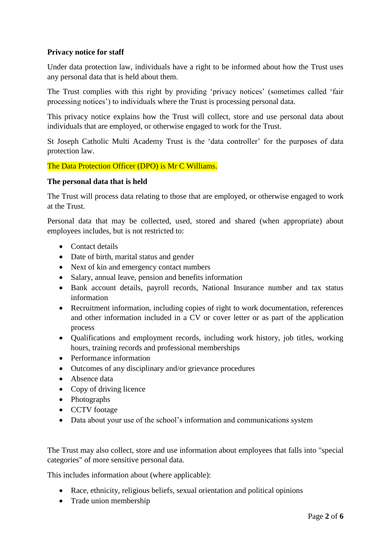## **Privacy notice for staff**

Under data protection law, individuals have a right to be informed about how the Trust uses any personal data that is held about them.

The Trust complies with this right by providing 'privacy notices' (sometimes called 'fair processing notices') to individuals where the Trust is processing personal data.

This privacy notice explains how the Trust will collect, store and use personal data about individuals that are employed, or otherwise engaged to work for the Trust.

St Joseph Catholic Multi Academy Trust is the 'data controller' for the purposes of data protection law.

The Data Protection Officer (DPO) is Mr C Williams.

## **The personal data that is held**

The Trust will process data relating to those that are employed, or otherwise engaged to work at the Trust.

Personal data that may be collected, used, stored and shared (when appropriate) about employees includes, but is not restricted to:

- Contact details
- Date of birth, marital status and gender
- Next of kin and emergency contact numbers
- Salary, annual leave, pension and benefits information
- Bank account details, payroll records, National Insurance number and tax status information
- Recruitment information, including copies of right to work documentation, references and other information included in a CV or cover letter or as part of the application process
- Qualifications and employment records, including work history, job titles, working hours, training records and professional memberships
- Performance information
- Outcomes of any disciplinary and/or grievance procedures
- Absence data
- Copy of driving licence
- Photographs
- CCTV footage
- Data about your use of the school's information and communications system

The Trust may also collect, store and use information about employees that falls into "special categories" of more sensitive personal data.

This includes information about (where applicable):

- Race, ethnicity, religious beliefs, sexual orientation and political opinions
- Trade union membership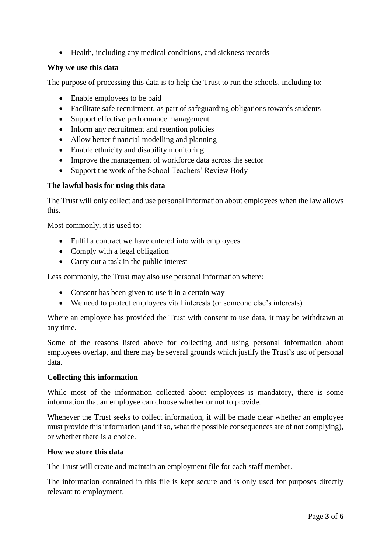• Health, including any medical conditions, and sickness records

## **Why we use this data**

The purpose of processing this data is to help the Trust to run the schools, including to:

- Enable employees to be paid
- Facilitate safe recruitment, as part of safeguarding obligations towards students
- Support effective performance management
- Inform any recruitment and retention policies
- Allow better financial modelling and planning
- Enable ethnicity and disability monitoring
- Improve the management of workforce data across the sector
- Support the work of the School Teachers' Review Body

## **The lawful basis for using this data**

The Trust will only collect and use personal information about employees when the law allows this.

Most commonly, it is used to:

- Fulfil a contract we have entered into with employees
- Comply with a legal obligation
- Carry out a task in the public interest

Less commonly, the Trust may also use personal information where:

- Consent has been given to use it in a certain way
- We need to protect employees vital interests (or someone else's interests)

Where an employee has provided the Trust with consent to use data, it may be withdrawn at any time.

Some of the reasons listed above for collecting and using personal information about employees overlap, and there may be several grounds which justify the Trust's use of personal data.

#### **Collecting this information**

While most of the information collected about employees is mandatory, there is some information that an employee can choose whether or not to provide.

Whenever the Trust seeks to collect information, it will be made clear whether an employee must provide this information (and if so, what the possible consequences are of not complying), or whether there is a choice.

#### **How we store this data**

The Trust will create and maintain an employment file for each staff member.

The information contained in this file is kept secure and is only used for purposes directly relevant to employment.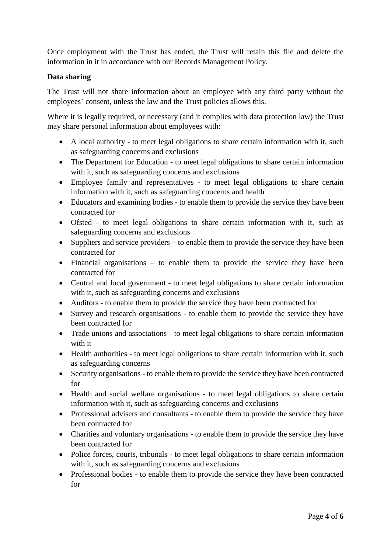Once employment with the Trust has ended, the Trust will retain this file and delete the information in it in accordance with our Records Management Policy.

## **Data sharing**

The Trust will not share information about an employee with any third party without the employees' consent, unless the law and the Trust policies allows this.

Where it is legally required, or necessary (and it complies with data protection law) the Trust may share personal information about employees with:

- A local authority to meet legal obligations to share certain information with it, such as safeguarding concerns and exclusions
- The Department for Education to meet legal obligations to share certain information with it, such as safeguarding concerns and exclusions
- Employee family and representatives to meet legal obligations to share certain information with it, such as safeguarding concerns and health
- Educators and examining bodies to enable them to provide the service they have been contracted for
- Ofsted to meet legal obligations to share certain information with it, such as safeguarding concerns and exclusions
- Suppliers and service providers to enable them to provide the service they have been contracted for
- Financial organisations to enable them to provide the service they have been contracted for
- Central and local government to meet legal obligations to share certain information with it, such as safeguarding concerns and exclusions
- Auditors to enable them to provide the service they have been contracted for
- Survey and research organisations to enable them to provide the service they have been contracted for
- Trade unions and associations to meet legal obligations to share certain information with it
- Health authorities to meet legal obligations to share certain information with it, such as safeguarding concerns
- Security organisations to enable them to provide the service they have been contracted for
- Health and social welfare organisations to meet legal obligations to share certain information with it, such as safeguarding concerns and exclusions
- Professional advisers and consultants to enable them to provide the service they have been contracted for
- Charities and voluntary organisations to enable them to provide the service they have been contracted for
- Police forces, courts, tribunals to meet legal obligations to share certain information with it, such as safeguarding concerns and exclusions
- Professional bodies to enable them to provide the service they have been contracted for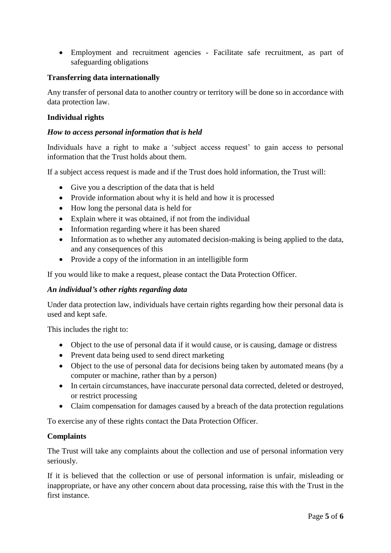Employment and recruitment agencies - Facilitate safe recruitment, as part of safeguarding obligations

## **Transferring data internationally**

Any transfer of personal data to another country or territory will be done so in accordance with data protection law.

### **Individual rights**

#### *How to access personal information that is held*

Individuals have a right to make a 'subject access request' to gain access to personal information that the Trust holds about them.

If a subject access request is made and if the Trust does hold information, the Trust will:

- Give you a description of the data that is held
- Provide information about why it is held and how it is processed
- How long the personal data is held for
- Explain where it was obtained, if not from the individual
- Information regarding where it has been shared
- Information as to whether any automated decision-making is being applied to the data, and any consequences of this
- Provide a copy of the information in an intelligible form

If you would like to make a request, please contact the Data Protection Officer.

#### *An individual's other rights regarding data*

Under data protection law, individuals have certain rights regarding how their personal data is used and kept safe.

This includes the right to:

- Object to the use of personal data if it would cause, or is causing, damage or distress
- Prevent data being used to send direct marketing
- Object to the use of personal data for decisions being taken by automated means (by a computer or machine, rather than by a person)
- In certain circumstances, have inaccurate personal data corrected, deleted or destroyed, or restrict processing
- Claim compensation for damages caused by a breach of the data protection regulations

To exercise any of these rights contact the Data Protection Officer.

#### **Complaints**

The Trust will take any complaints about the collection and use of personal information very seriously.

If it is believed that the collection or use of personal information is unfair, misleading or inappropriate, or have any other concern about data processing, raise this with the Trust in the first instance.